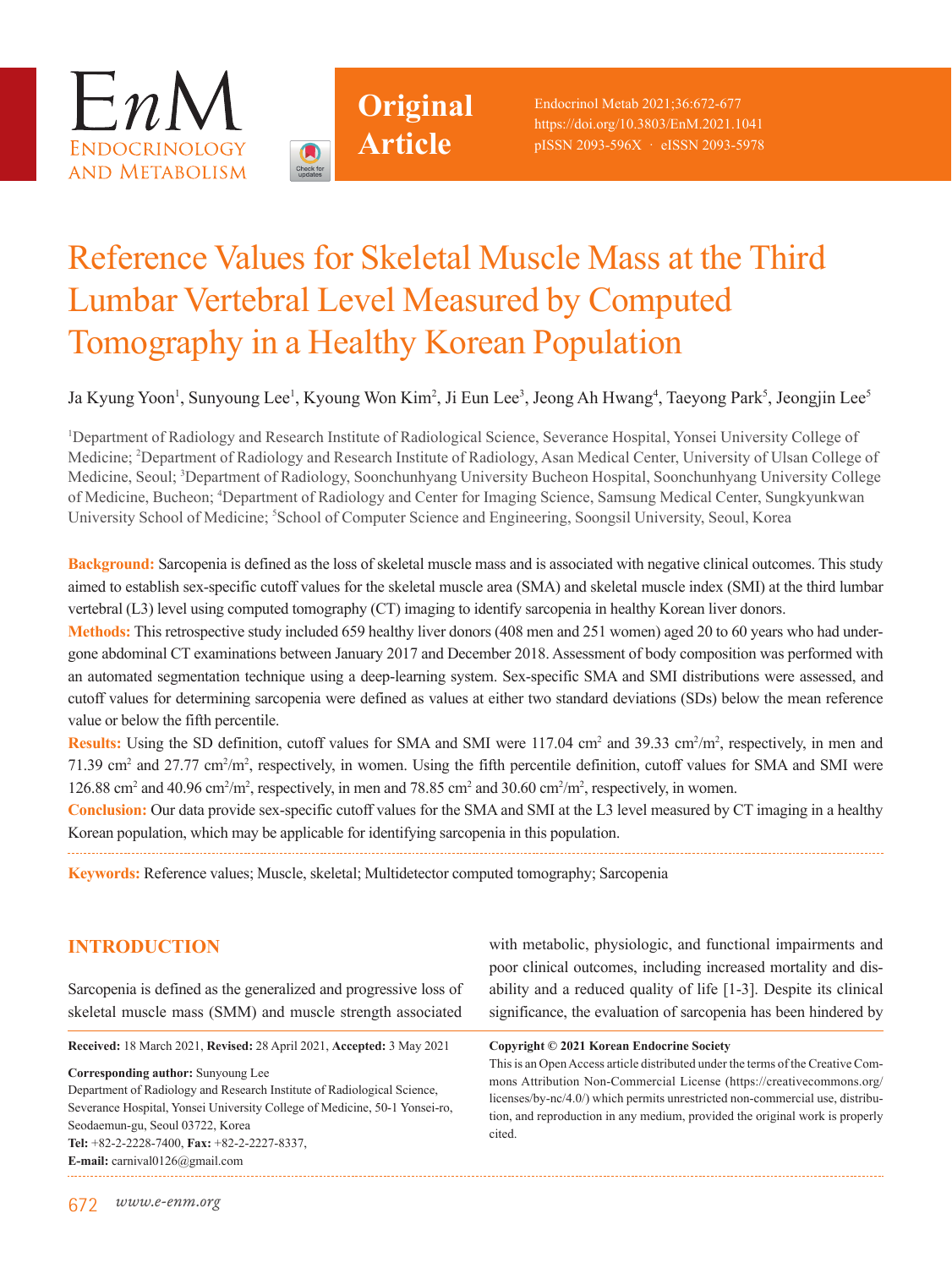



Endocrinol Metab 2021;36:672-677 https://doi.org/10.3803/EnM.2021.1041 pISSN 2093-596X · eISSN 2093-5978

# Reference Values for Skeletal Muscle Mass at the Third Lumbar Vertebral Level Measured by Computed Tomography in a Healthy Korean Population

## Ja Kyung Yoon<sup>1</sup>, Sunyoung Lee<sup>1</sup>, Kyoung Won Kim<sup>2</sup>, Ji Eun Lee<sup>3</sup>, Jeong Ah Hwang<sup>4</sup>, Taeyong Park<sup>5</sup>, Jeongjin Lee<sup>5</sup>

1 Department of Radiology and Research Institute of Radiological Science, Severance Hospital, Yonsei University College of Medicine; <sup>2</sup>Department of Radiology and Research Institute of Radiology, Asan Medical Center, University of Ulsan College of Medicine, Seoul; <sup>3</sup>Department of Radiology, Soonchunhyang University Bucheon Hospital, Soonchunhyang University College of Medicine, Bucheon; 4 Department of Radiology and Center for Imaging Science, Samsung Medical Center, Sungkyunkwan University School of Medicine; <sup>5</sup>School of Computer Science and Engineering, Soongsil University, Seoul, Korea

**Background:** Sarcopenia is defined as the loss of skeletal muscle mass and is associated with negative clinical outcomes. This study aimed to establish sex-specific cutoff values for the skeletal muscle area (SMA) and skeletal muscle index (SMI) at the third lumbar vertebral (L3) level using computed tomography (CT) imaging to identify sarcopenia in healthy Korean liver donors.

**Methods:** This retrospective study included 659 healthy liver donors (408 men and 251 women) aged 20 to 60 years who had undergone abdominal CT examinations between January 2017 and December 2018. Assessment of body composition was performed with an automated segmentation technique using a deep-learning system. Sex-specific SMA and SMI distributions were assessed, and cutoff values for determining sarcopenia were defined as values at either two standard deviations (SDs) below the mean reference value or below the fifth percentile.

Results: Using the SD definition, cutoff values for SMA and SMI were 117.04 cm<sup>2</sup> and 39.33 cm<sup>2</sup>/m<sup>2</sup>, respectively, in men and 71.39 cm<sup>2</sup> and 27.77 cm<sup>2</sup>/m<sup>2</sup>, respectively, in women. Using the fifth percentile definition, cutoff values for SMA and SMI were 126.88 cm<sup>2</sup> and 40.96 cm<sup>2</sup>/m<sup>2</sup>, respectively, in men and 78.85 cm<sup>2</sup> and 30.60 cm<sup>2</sup>/m<sup>2</sup>, respectively, in women.

**Conclusion:** Our data provide sex-specific cutoff values for the SMA and SMI at the L3 level measured by CT imaging in a healthy Korean population, which may be applicable for identifying sarcopenia in this population.

**Keywords:** Reference values; Muscle, skeletal; Multidetector computed tomography; Sarcopenia

# **INTRODUCTION**

Sarcopenia is defined as the generalized and progressive loss of skeletal muscle mass (SMM) and muscle strength associated

**Received:** 18 March 2021, **Revised:** 28 April 2021, **Accepted:** 3 May 2021

**Corresponding author:** Sunyoung Lee Department of Radiology and Research Institute of Radiological Science, Severance Hospital, Yonsei University College of Medicine, 50-1 Yonsei-ro, Seodaemun-gu, Seoul 03722, Korea **Tel:** +82-2-2228-7400, **Fax:** +82-2-2227-8337, **E-mail:** carnival0126@gmail.com

with metabolic, physiologic, and functional impairments and poor clinical outcomes, including increased mortality and disability and a reduced quality of life [1-3]. Despite its clinical significance, the evaluation of sarcopenia has been hindered by

#### **Copyright © 2021 Korean Endocrine Society**

This is an Open Access article distributed under the terms of the Creative Commons Attribution Non-Commercial License (https://creativecommons.org/ licenses/by-nc/4.0/) which permits unrestricted non-commercial use, distribution, and reproduction in any medium, provided the original work is properly cited.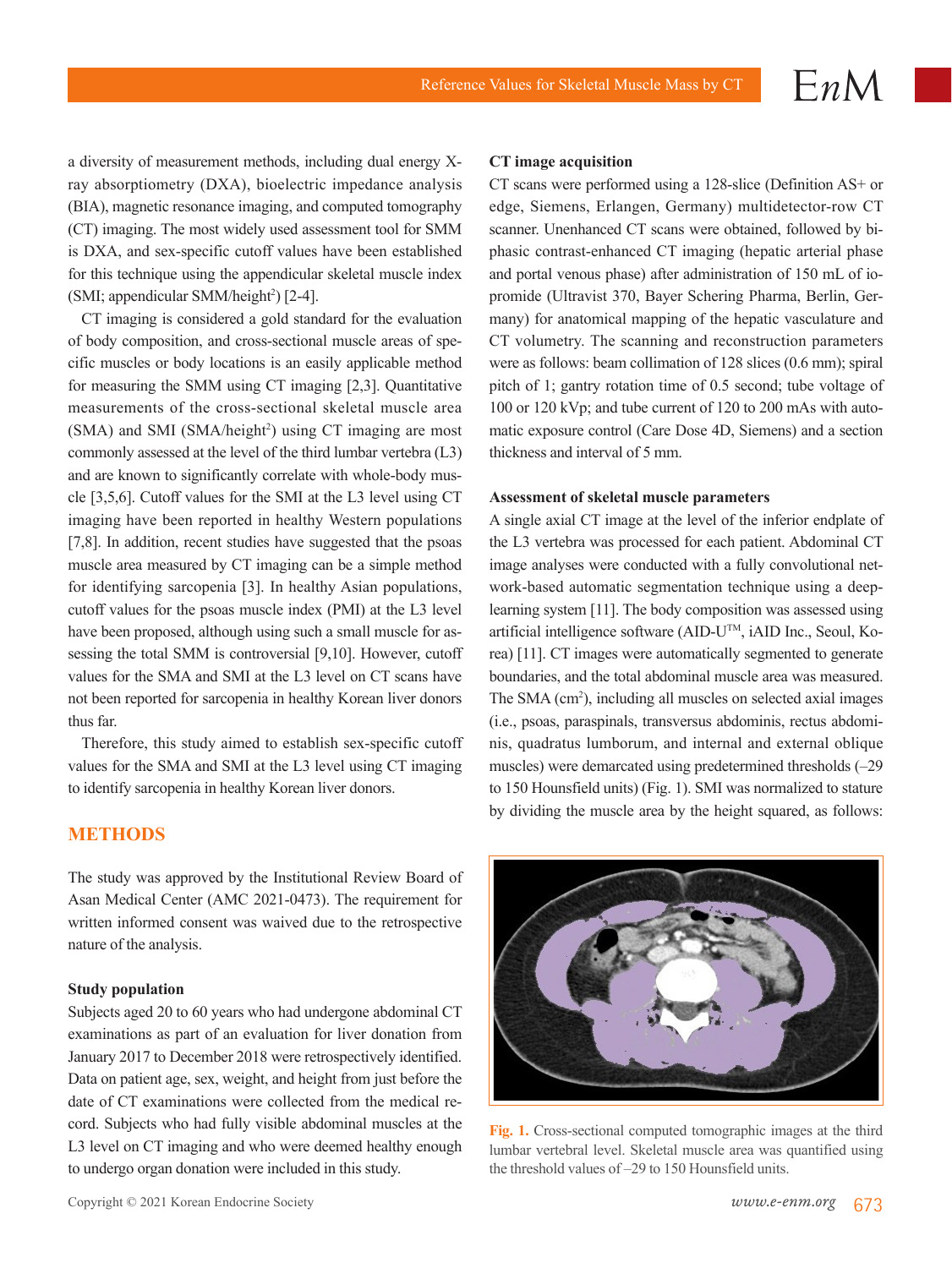a diversity of measurement methods, including dual energy Xray absorptiometry (DXA), bioelectric impedance analysis (BIA), magnetic resonance imaging, and computed tomography (CT) imaging. The most widely used assessment tool for SMM is DXA, and sex-specific cutoff values have been established for this technique using the appendicular skeletal muscle index (SMI; appendicular SMM/height<sup>2</sup>) [2-4].

CT imaging is considered a gold standard for the evaluation of body composition, and cross-sectional muscle areas of specific muscles or body locations is an easily applicable method for measuring the SMM using CT imaging [2,3]. Quantitative measurements of the cross-sectional skeletal muscle area (SMA) and SMI (SMA/height<sup>2</sup>) using CT imaging are most commonly assessed at the level of the third lumbar vertebra (L3) and are known to significantly correlate with whole-body muscle [3,5,6]. Cutoff values for the SMI at the L3 level using CT imaging have been reported in healthy Western populations [7,8]. In addition, recent studies have suggested that the psoas muscle area measured by CT imaging can be a simple method for identifying sarcopenia [3]. In healthy Asian populations, cutoff values for the psoas muscle index (PMI) at the L3 level have been proposed, although using such a small muscle for assessing the total SMM is controversial [9,10]. However, cutoff values for the SMA and SMI at the L3 level on CT scans have not been reported for sarcopenia in healthy Korean liver donors thus far.

Therefore, this study aimed to establish sex-specific cutoff values for the SMA and SMI at the L3 level using CT imaging to identify sarcopenia in healthy Korean liver donors.

#### **METHODS**

The study was approved by the Institutional Review Board of Asan Medical Center (AMC 2021-0473). The requirement for written informed consent was waived due to the retrospective nature of the analysis.

#### **Study population**

Subjects aged 20 to 60 years who had undergone abdominal CT examinations as part of an evaluation for liver donation from January 2017 to December 2018 were retrospectively identified. Data on patient age, sex, weight, and height from just before the date of CT examinations were collected from the medical record. Subjects who had fully visible abdominal muscles at the L3 level on CT imaging and who were deemed healthy enough to undergo organ donation were included in this study.

CT scans were performed using a 128-slice (Definition AS+ or edge, Siemens, Erlangen, Germany) multidetector-row CT scanner. Unenhanced CT scans were obtained, followed by biphasic contrast-enhanced CT imaging (hepatic arterial phase and portal venous phase) after administration of 150 mL of iopromide (Ultravist 370, Bayer Schering Pharma, Berlin, Germany) for anatomical mapping of the hepatic vasculature and CT volumetry. The scanning and reconstruction parameters were as follows: beam collimation of 128 slices (0.6 mm); spiral pitch of 1; gantry rotation time of 0.5 second; tube voltage of 100 or 120 kVp; and tube current of 120 to 200 mAs with automatic exposure control (Care Dose 4D, Siemens) and a section thickness and interval of 5 mm.

 $EnM$ 

#### **Assessment of skeletal muscle parameters**

A single axial CT image at the level of the inferior endplate of the L3 vertebra was processed for each patient. Abdominal CT image analyses were conducted with a fully convolutional network-based automatic segmentation technique using a deeplearning system [11]. The body composition was assessed using artificial intelligence software (AID- $U^{TM}$ , iAID Inc., Seoul, Korea) [11]. CT images were automatically segmented to generate boundaries, and the total abdominal muscle area was measured. The SMA (cm<sup>2</sup>), including all muscles on selected axial images (i.e., psoas, paraspinals, transversus abdominis, rectus abdominis, quadratus lumborum, and internal and external oblique muscles) were demarcated using predetermined thresholds (–29 to 150 Hounsfield units) (Fig. 1). SMI was normalized to stature by dividing the muscle area by the height squared, as follows:



**Fig. 1.** Cross-sectional computed tomographic images at the third lumbar vertebral level. Skeletal muscle area was quantified using the threshold values of –29 to 150 Hounsfield units.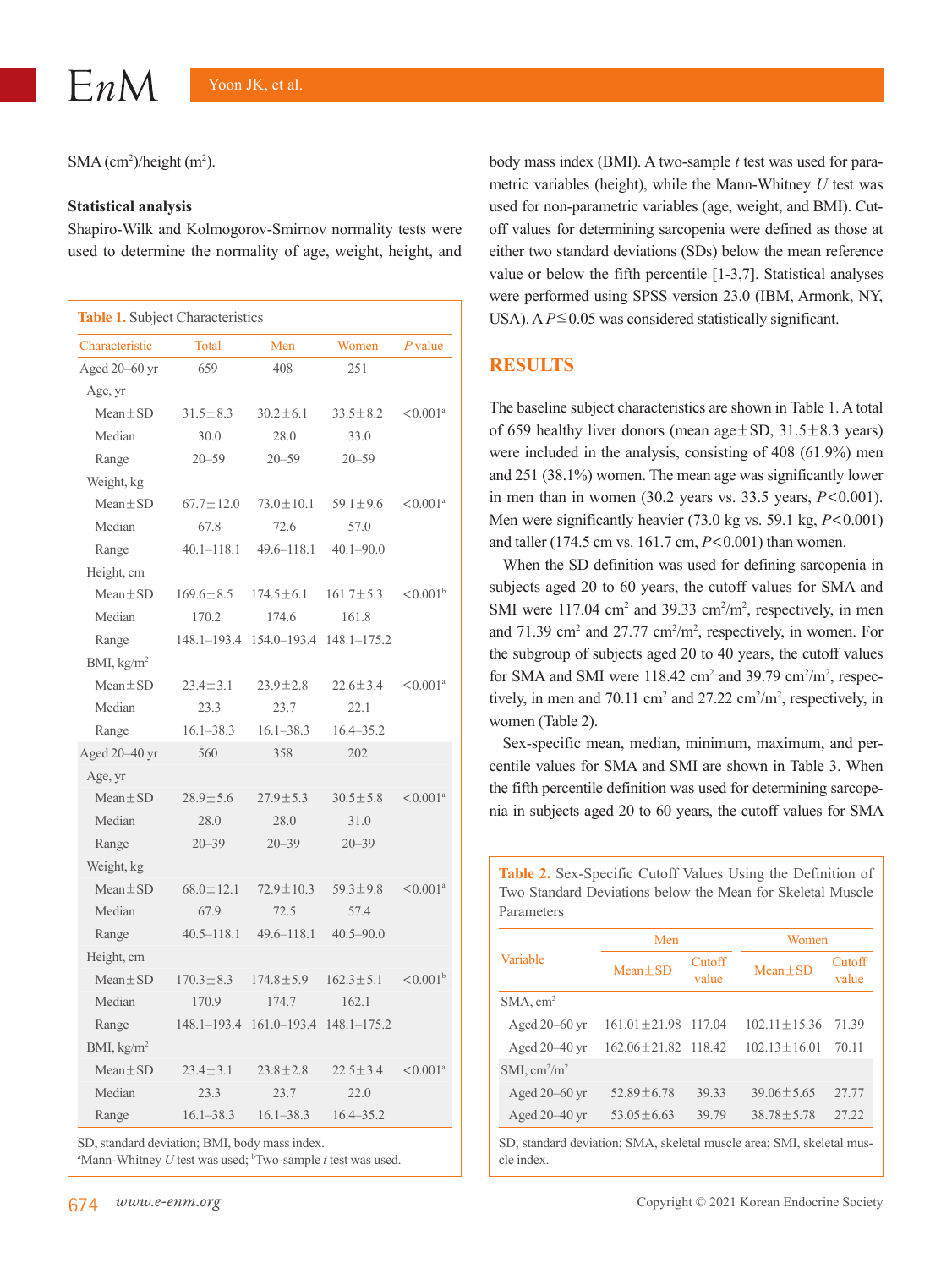$SMA$  (cm<sup>2</sup>)/height (m<sup>2</sup>).

#### **Statistical analysis**

Shapiro-Wilk and Kolmogorov-Smirnov normality tests were used to determine the normality of age, weight, height, and

| Table 1. Subject Characteristics |                 |                 |                 |                        |  |
|----------------------------------|-----------------|-----------------|-----------------|------------------------|--|
| Characteristic                   | <b>Total</b>    | Men             | Women           | $P$ value              |  |
| Aged 20–60 yr                    | 659             | 408             | 251             |                        |  |
| Age, yr                          |                 |                 |                 |                        |  |
| $Mean \pm SD$                    | $31.5 \pm 8.3$  | $30.2 \pm 6.1$  | $33.5 \pm 8.2$  | $< 0.001$ <sup>a</sup> |  |
| Median                           | 30.0            | 28.0            | 33.0            |                        |  |
| Range                            | $20 - 59$       | $20 - 59$       | $20 - 59$       |                        |  |
| Weight, kg                       |                 |                 |                 |                        |  |
| $Mean + SD$                      | $67.7 \pm 12.0$ | $73.0 \pm 10.1$ | $59.1 \pm 9.6$  | $< 0.001$ <sup>a</sup> |  |
| Median                           | 67.8            | 72.6            | 57.0            |                        |  |
| Range                            | $40.1 - 118.1$  | $49.6 - 118.1$  | $40.1 - 90.0$   |                        |  |
| Height, cm                       |                 |                 |                 |                        |  |
| $Mean \pm SD$                    | $169.6 \pm 8.5$ | $174.5 \pm 6.1$ | $161.7 \pm 5.3$ | $< 0.001^b$            |  |
| Median                           | 170.2           | 174.6           | 161.8           |                        |  |
| Range                            | $148.1 - 193.4$ | 154.0-193.4     | 148.1-175.2     |                        |  |
| BMI, kg/m <sup>2</sup>           |                 |                 |                 |                        |  |
| $Mean \pm SD$                    | $23.4 \pm 3.1$  | $23.9 \pm 2.8$  | $22.6 \pm 3.4$  | $< 0.001$ <sup>a</sup> |  |
| Median                           | 23.3            | 23.7            | 22.1            |                        |  |
| Range                            | $16.1 - 38.3$   | $16.1 - 38.3$   | $16.4 - 35.2$   |                        |  |
| Aged 20-40 yr                    | 560             | 358             | 202             |                        |  |
| Age, yr                          |                 |                 |                 |                        |  |
| $Mean \pm SD$                    | $28.9 \pm 5.6$  | $27.9 \pm 5.3$  | $30.5 \pm 5.8$  | $< 0.001$ <sup>a</sup> |  |
| Median                           | 28.0            | 28.0            | 31.0            |                        |  |
| Range                            | $20 - 39$       | $20 - 39$       | $20 - 39$       |                        |  |
| Weight, kg                       |                 |                 |                 |                        |  |
| $Mean \pm SD$                    | $68.0 \pm 12.1$ | $72.9 \pm 10.3$ | $59.3 \pm 9.8$  | $< 0.001$ <sup>a</sup> |  |
| Median                           | 67.9            | 72.5            | 57.4            |                        |  |
| Range                            | $40.5 - 118.1$  | $49.6 - 118.1$  | $40.5 - 90.0$   |                        |  |
| Height, cm                       |                 |                 |                 |                        |  |
| $Mean \pm SD$                    | $170.3 \pm 8.3$ | $174.8 \pm 5.9$ | $162.3 \pm 5.1$ | $< 0.001^{\rm b}$      |  |
| Median                           | 170.9           | 174.7           | 162.1           |                        |  |
| Range                            | 148.1–193.4     | $161.0 - 193.4$ | $148.1 - 175.2$ |                        |  |
| BMI, kg/m <sup>2</sup>           |                 |                 |                 |                        |  |
| $Mean \pm SD$                    | $23.4 \pm 3.1$  | $23.8 \pm 2.8$  | $22.5 \pm 3.4$  | $< 0.001$ <sup>a</sup> |  |
| Median                           | 23.3            | 23.7            | 22.0            |                        |  |
| Range                            | $16.1 - 38.3$   | $16.1 - 38.3$   | $16.4 - 35.2$   |                        |  |

SD, standard deviation; BMI, body mass index.

<sup>a</sup>Mann-Whitney U test was used; <sup>b</sup>Two-sample t test was used.

body mass index (BMI). A two-sample *t* test was used for parametric variables (height), while the Mann-Whitney *U* test was used for non-parametric variables (age, weight, and BMI). Cutoff values for determining sarcopenia were defined as those at either two standard deviations (SDs) below the mean reference value or below the fifth percentile [1-3,7]. Statistical analyses were performed using SPSS version 23.0 (IBM, Armonk, NY, USA). A  $P \le 0.05$  was considered statistically significant.

#### **RESULTS**

The baseline subject characteristics are shown in Table 1. A total of 659 healthy liver donors (mean  $age \pm SD$ ,  $31.5 \pm 8.3$  years) were included in the analysis, consisting of 408 (61.9%) men and 251 (38.1%) women. The mean age was significantly lower in men than in women (30.2 years vs. 33.5 years, *P*<0.001). Men were significantly heavier (73.0 kg vs. 59.1 kg,  $P < 0.001$ ) and taller (174.5 cm vs. 161.7 cm, *P*<0.001) than women.

When the SD definition was used for defining sarcopenia in subjects aged 20 to 60 years, the cutoff values for SMA and SMI were  $117.04 \text{ cm}^2$  and  $39.33 \text{ cm}^2/\text{m}^2$ , respectively, in men and 71.39 cm<sup>2</sup> and 27.77 cm<sup>2</sup>/m<sup>2</sup>, respectively, in women. For the subgroup of subjects aged 20 to 40 years, the cutoff values for SMA and SMI were  $118.42 \text{ cm}^2$  and  $39.79 \text{ cm}^2/\text{m}^2$ , respectively, in men and 70.11 cm<sup>2</sup> and 27.22 cm<sup>2</sup>/m<sup>2</sup>, respectively, in women (Table 2).

Sex-specific mean, median, minimum, maximum, and percentile values for SMA and SMI are shown in Table 3. When the fifth percentile definition was used for determining sarcopenia in subjects aged 20 to 60 years, the cutoff values for SMA

**Table 2.** Sex-Specific Cutoff Values Using the Definition of

| Two Standard Deviations below the Mean for Skeletal Muscle<br>Parameters |                         |                 |                    |                 |  |  |
|--------------------------------------------------------------------------|-------------------------|-----------------|--------------------|-----------------|--|--|
| Variable                                                                 | Men                     |                 | Women              |                 |  |  |
|                                                                          | $Mean + SD$             | Cutoff<br>value | $Mean + SD$        | Cutoff<br>value |  |  |
| $SMA$ , cm <sup>2</sup>                                                  |                         |                 |                    |                 |  |  |
| Aged $20-60$ yr                                                          | $161.01 \pm 21.98$      | 117.04          | $102.11 \pm 15.36$ | 71.39           |  |  |
| Aged 20-40 yr                                                            | $162.06 + 21.82$ 118.42 |                 | $102.13 \pm 16.01$ | 70.11           |  |  |
| SMI, $\text{cm}^2/\text{m}^2$                                            |                         |                 |                    |                 |  |  |
| Aged $20-60$ yr                                                          | $52.89 \pm 6.78$        | 39.33           | $39.06 \pm 5.65$   | 27.77           |  |  |
| Aged $20-40$ yr                                                          | $53.05 \pm 6.63$        | 39.79           | $38.78 \pm 5.78$   | 27 22           |  |  |

SD, standard deviation; SMA, skeletal muscle area; SMI, skeletal muscle index.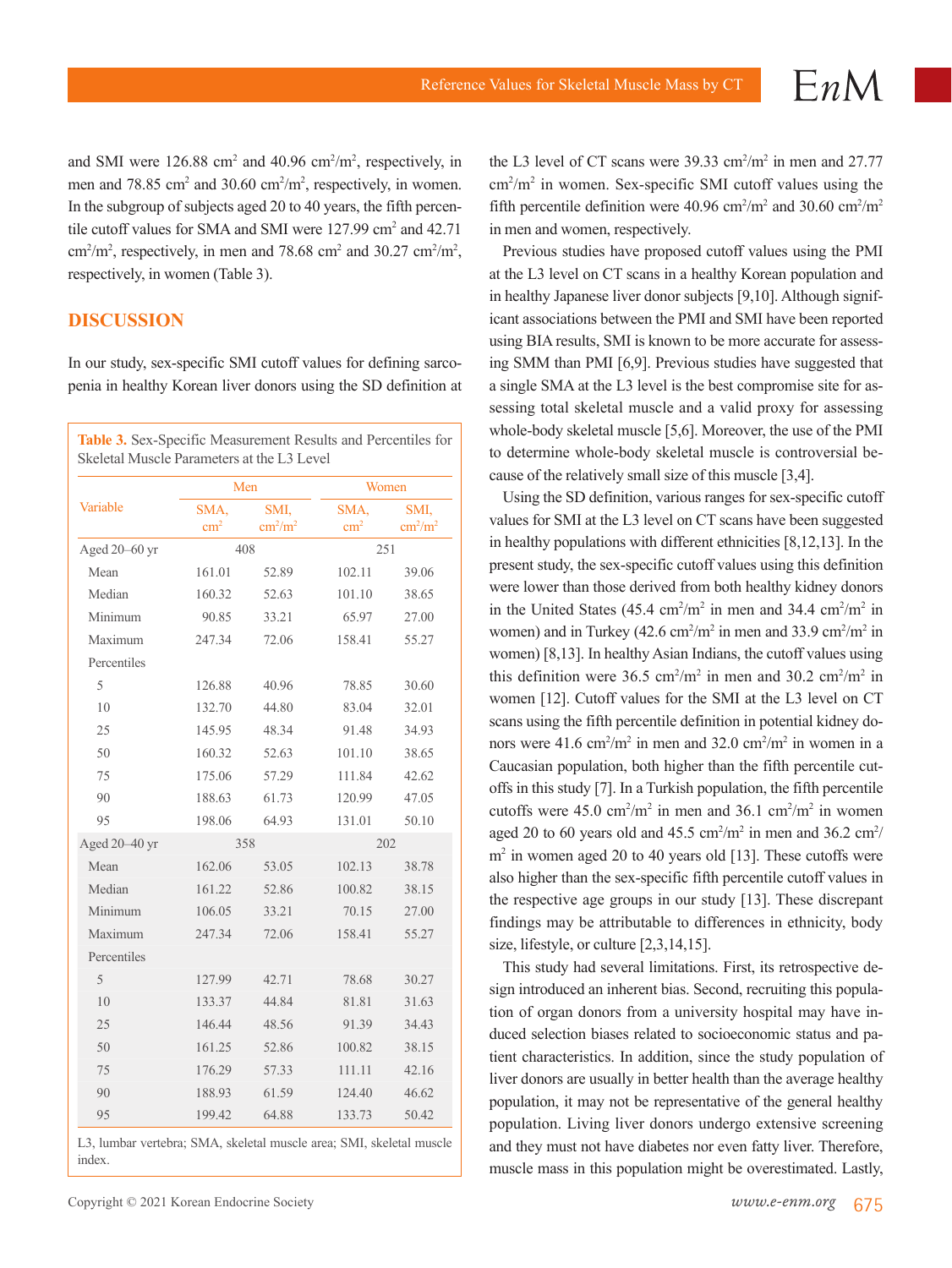and SMI were  $126.88 \text{ cm}^2$  and  $40.96 \text{ cm}^2/\text{m}^2$ , respectively, in men and 78.85 cm<sup>2</sup> and 30.60 cm<sup>2</sup>/m<sup>2</sup>, respectively, in women. In the subgroup of subjects aged 20 to 40 years, the fifth percentile cutoff values for SMA and SMI were 127.99 cm<sup>2</sup> and 42.71  $\text{cm}^2/\text{m}^2$ , respectively, in men and 78.68 cm<sup>2</sup> and 30.27 cm<sup>2</sup>/m<sup>2</sup>, respectively, in women (Table 3).

#### **DISCUSSION**

In our study, sex-specific SMI cutoff values for defining sarcopenia in healthy Korean liver donors using the SD definition at

| Variable       | Men                   |                                  |                       | Women                            |  |
|----------------|-----------------------|----------------------------------|-----------------------|----------------------------------|--|
|                | SMA,<br>$\text{cm}^2$ | SMI,<br>$\text{cm}^2/\text{m}^2$ | SMA,<br>$\text{cm}^2$ | SMI,<br>$\text{cm}^2/\text{m}^2$ |  |
| Aged 20-60 yr  | 408                   |                                  |                       | 251                              |  |
| Mean           | 161.01                | 52.89                            | 102.11                | 39.06                            |  |
| Median         | 160.32                | 52.63                            | 101.10                | 38.65                            |  |
| Minimum        | 90.85                 | 33.21                            | 65.97                 | 27.00                            |  |
| Maximum        | 247.34                | 72.06                            | 158.41                | 55.27                            |  |
| Percentiles    |                       |                                  |                       |                                  |  |
| 5              | 126.88                | 40.96                            | 78.85                 | 30.60                            |  |
| 10             | 132.70                | 44.80                            | 83.04                 | 32.01                            |  |
| 25             | 145.95                | 48.34                            | 91.48                 | 34.93                            |  |
| 50             | 160.32                | 52.63                            | 101.10                | 38.65                            |  |
| 75             | 175.06                | 57.29                            | 111.84                | 42.62                            |  |
| 90             | 188.63                | 61.73                            | 120.99                | 47.05                            |  |
| 95             | 198.06                | 64.93                            | 131.01                | 50.10                            |  |
| Aged 20-40 yr  |                       | 358                              |                       | 202                              |  |
| Mean           | 162.06                | 53.05                            | 102.13                | 38.78                            |  |
| Median         | 161.22                | 52.86                            | 100.82                | 38.15                            |  |
| Minimum        | 106.05                | 33.21                            | 70.15                 | 27.00                            |  |
| Maximum        | 247.34                | 72.06                            | 158.41                | 55.27                            |  |
| Percentiles    |                       |                                  |                       |                                  |  |
| 5              | 127.99                | 42.71                            | 78.68                 | 30.27                            |  |
| 1 <sub>0</sub> | 133.37                | 44.84                            | 81.81                 | 31.63                            |  |
| 25             | 146.44                | 48.56                            | 91.39                 | 34.43                            |  |
| 50             | 161.25                | 52.86                            | 100.82                | 38.15                            |  |
| 75             | 176.29                | 57.33                            | 111.11                | 42.16                            |  |
| 90             | 188.93                | 61.59                            | 124.40                | 46.62                            |  |
| 95             | 199.42                | 64.88                            | 133.73                | 50.42                            |  |

L3, lumbar vertebra; SMA, skeletal muscle area; SMI, skeletal muscle index.

the L3 level of CT scans were  $39.33 \text{ cm}^2/\text{m}^2$  in men and  $27.77$ cm<sup>2</sup>/m<sup>2</sup> in women. Sex-specific SMI cutoff values using the fifth percentile definition were 40.96 cm<sup>2</sup>/m<sup>2</sup> and 30.60 cm<sup>2</sup>/m<sup>2</sup> in men and women, respectively.

Previous studies have proposed cutoff values using the PMI at the L3 level on CT scans in a healthy Korean population and in healthy Japanese liver donor subjects [9,10]. Although significant associations between the PMI and SMI have been reported using BIA results, SMI is known to be more accurate for assessing SMM than PMI [6,9]. Previous studies have suggested that a single SMA at the L3 level is the best compromise site for assessing total skeletal muscle and a valid proxy for assessing whole-body skeletal muscle [5,6]. Moreover, the use of the PMI to determine whole-body skeletal muscle is controversial because of the relatively small size of this muscle [3,4].

Using the SD definition, various ranges for sex-specific cutoff values for SMI at the L3 level on CT scans have been suggested in healthy populations with different ethnicities [8,12,13]. In the present study, the sex-specific cutoff values using this definition were lower than those derived from both healthy kidney donors in the United States  $(45.4 \text{ cm}^2/\text{m}^2 \text{ in} \text{ men and } 34.4 \text{ cm}^2/\text{m}^2 \text{ in}$ women) and in Turkey  $(42.6 \text{ cm}^2/\text{m}^2 \text{ in} \text{ men and } 33.9 \text{ cm}^2/\text{m}^2 \text{ in}$ women) [8,13]. In healthy Asian Indians, the cutoff values using this definition were  $36.5 \text{ cm}^2/\text{m}^2$  in men and  $30.2 \text{ cm}^2/\text{m}^2$  in women [12]. Cutoff values for the SMI at the L3 level on CT scans using the fifth percentile definition in potential kidney donors were  $41.6 \text{ cm}^2/\text{m}^2$  in men and  $32.0 \text{ cm}^2/\text{m}^2$  in women in a Caucasian population, both higher than the fifth percentile cutoffs in this study [7]. In a Turkish population, the fifth percentile cutoffs were  $45.0 \text{ cm}^2/\text{m}^2$  in men and  $36.1 \text{ cm}^2/\text{m}^2$  in women aged 20 to 60 years old and 45.5 cm<sup>2</sup>/m<sup>2</sup> in men and 36.2 cm<sup>2</sup>/ m<sup>2</sup> in women aged 20 to 40 years old [13]. These cutoffs were also higher than the sex-specific fifth percentile cutoff values in the respective age groups in our study [13]. These discrepant findings may be attributable to differences in ethnicity, body size, lifestyle, or culture [2,3,14,15].

This study had several limitations. First, its retrospective design introduced an inherent bias. Second, recruiting this population of organ donors from a university hospital may have induced selection biases related to socioeconomic status and patient characteristics. In addition, since the study population of liver donors are usually in better health than the average healthy population, it may not be representative of the general healthy population. Living liver donors undergo extensive screening and they must not have diabetes nor even fatty liver. Therefore, muscle mass in this population might be overestimated. Lastly,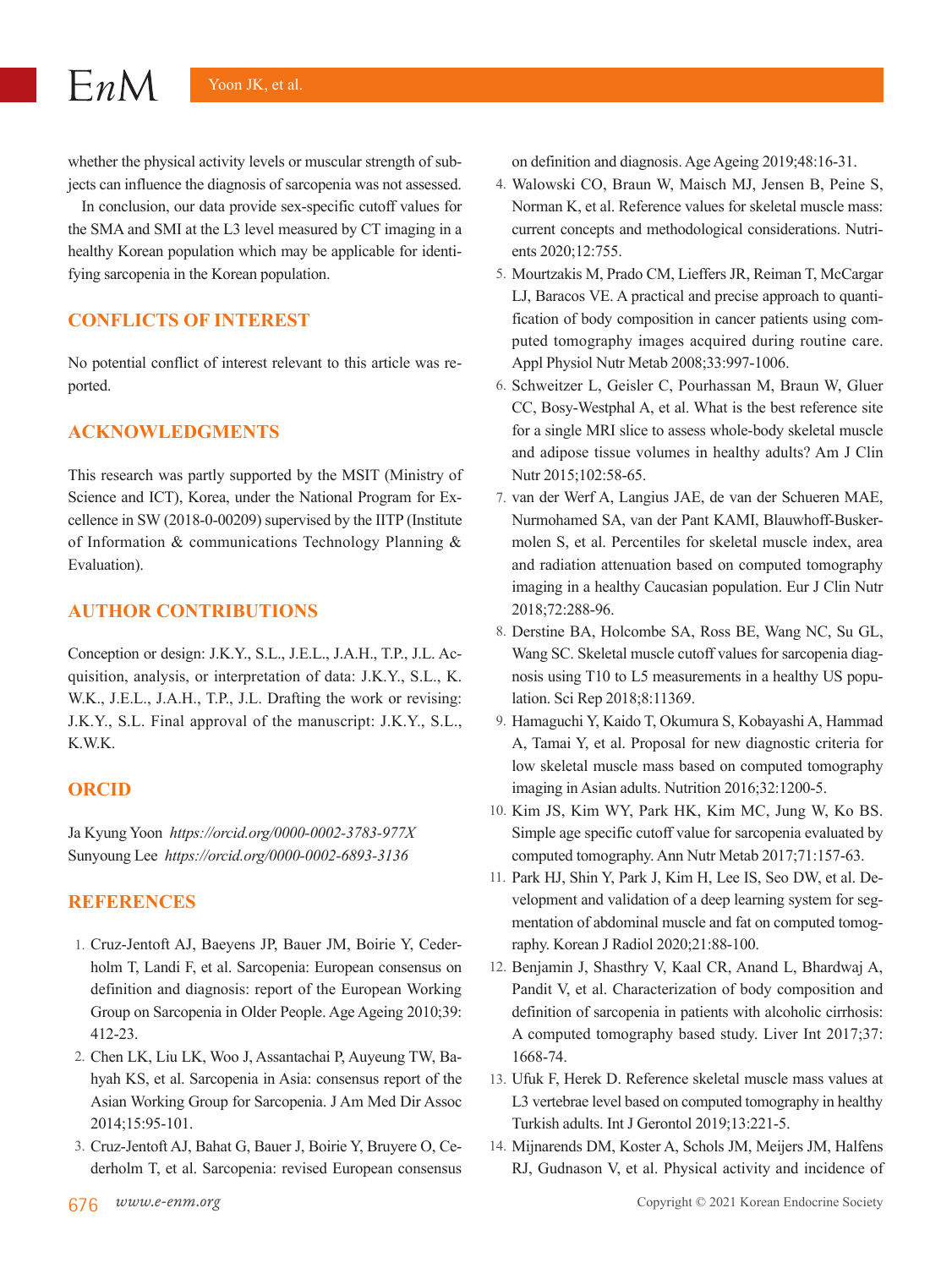whether the physical activity levels or muscular strength of subjects can influence the diagnosis of sarcopenia was not assessed.

In conclusion, our data provide sex-specific cutoff values for the SMA and SMI at the L3 level measured by CT imaging in a healthy Korean population which may be applicable for identifying sarcopenia in the Korean population.

## **CONFLICTS OF INTEREST**

No potential conflict of interest relevant to this article was reported.

## **ACKNOWLEDGMENTS**

This research was partly supported by the MSIT (Ministry of Science and ICT), Korea, under the National Program for Excellence in SW (2018-0-00209) supervised by the IITP (Institute of Information & communications Technology Planning & Evaluation).

## **AUTHOR CONTRIBUTIONS**

Conception or design: J.K.Y., S.L., J.E.L., J.A.H., T.P., J.L. Acquisition, analysis, or interpretation of data: J.K.Y., S.L., K. W.K., J.E.L., J.A.H., T.P., J.L. Drafting the work or revising: J.K.Y., S.L. Final approval of the manuscript: J.K.Y., S.L., K.W.K.

#### **ORCID**

Ja Kyung Yoon *https://orcid.org/0000-0002-3783-977X* Sunyoung Lee *https://orcid.org/0000-0002-6893-3136*

## **REFERENCES**

- 1. Cruz-Jentoft AJ, Baeyens JP, Bauer JM, Boirie Y, Cederholm T, Landi F, et al. Sarcopenia: European consensus on definition and diagnosis: report of the European Working Group on Sarcopenia in Older People. Age Ageing 2010;39: 412-23.
- 2. Chen LK, Liu LK, Woo J, Assantachai P, Auyeung TW, Bahyah KS, et al. Sarcopenia in Asia: consensus report of the Asian Working Group for Sarcopenia. J Am Med Dir Assoc 2014;15:95-101.
- 3. Cruz-Jentoft AJ, Bahat G, Bauer J, Boirie Y, Bruyere O, Cederholm T, et al. Sarcopenia: revised European consensus

on definition and diagnosis. Age Ageing 2019;48:16-31.

- 4. Walowski CO, Braun W, Maisch MJ, Jensen B, Peine S, Norman K, et al. Reference values for skeletal muscle mass: current concepts and methodological considerations. Nutrients 2020;12:755.
- 5. Mourtzakis M, Prado CM, Lieffers JR, Reiman T, McCargar LJ, Baracos VE. A practical and precise approach to quantification of body composition in cancer patients using computed tomography images acquired during routine care. Appl Physiol Nutr Metab 2008;33:997-1006.
- 6. Schweitzer L, Geisler C, Pourhassan M, Braun W, Gluer CC, Bosy-Westphal A, et al. What is the best reference site for a single MRI slice to assess whole-body skeletal muscle and adipose tissue volumes in healthy adults? Am J Clin Nutr 2015;102:58-65.
- 7. van der Werf A, Langius JAE, de van der Schueren MAE, Nurmohamed SA, van der Pant KAMI, Blauwhoff-Buskermolen S, et al. Percentiles for skeletal muscle index, area and radiation attenuation based on computed tomography imaging in a healthy Caucasian population. Eur J Clin Nutr 2018;72:288-96.
- 8. Derstine BA, Holcombe SA, Ross BE, Wang NC, Su GL, Wang SC. Skeletal muscle cutoff values for sarcopenia diagnosis using T10 to L5 measurements in a healthy US population. Sci Rep 2018;8:11369.
- 9. Hamaguchi Y, Kaido T, Okumura S, Kobayashi A, Hammad A, Tamai Y, et al. Proposal for new diagnostic criteria for low skeletal muscle mass based on computed tomography imaging in Asian adults. Nutrition 2016;32:1200-5.
- 10. Kim JS, Kim WY, Park HK, Kim MC, Jung W, Ko BS. Simple age specific cutoff value for sarcopenia evaluated by computed tomography. Ann Nutr Metab 2017;71:157-63.
- 11. Park HJ, Shin Y, Park J, Kim H, Lee IS, Seo DW, et al. Development and validation of a deep learning system for segmentation of abdominal muscle and fat on computed tomography. Korean J Radiol 2020;21:88-100.
- 12. Benjamin J, Shasthry V, Kaal CR, Anand L, Bhardwaj A, Pandit V, et al. Characterization of body composition and definition of sarcopenia in patients with alcoholic cirrhosis: A computed tomography based study. Liver Int 2017;37: 1668-74.
- 13. Ufuk F, Herek D. Reference skeletal muscle mass values at L3 vertebrae level based on computed tomography in healthy Turkish adults. Int J Gerontol 2019;13:221-5.
- 14. Mijnarends DM, Koster A, Schols JM, Meijers JM, Halfens RJ, Gudnason V, et al. Physical activity and incidence of